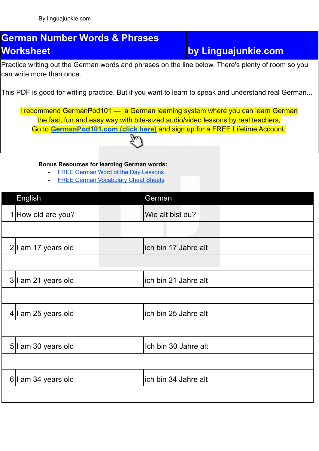## **German Number Words & Phrases Worksheet by Linguajunkie.com**

Practice writing out the German words and phrases on the line below. There's plenty of room so you can write more than once.

This PDF is good for writing practice. But if you want to learn to speak and understand real German...

I recommend GermanPod101 — a German learning system where you can learn German the fast, fun and easy way with bite-sized audio/video lessons by real teachers, Go to **[GermanPod101.com](https://www.germanpod101.com/member/go.php?r=270096&l=uggcf%3A%2F%2Fjjj.treznacbq101.pbz%2F%3Ffep%3Dyvathnwhaxvr-trezna-jbexobbxyvax) (click here)** and sign up for a FREE Lifetime Account.

**Bonus Resources for learning German words:**

- FREE German Word of the Day [Lessons](https://www.germanpod101.com/member/go.php?r=270096&l=uggcf%3A%2F%2Fjjj.treznacbq101.pbz%2Ftrezna-cuenfrf%3Ffep%3Dyvathnwhaxvr-trezna-jbexobbxyvaxJBGQ)
- **FREE German [Vocabulary](https://www.germanpod101.com/member/go.php?r=270096&l=uggcf%3A%2F%2Fjjj.treznacbq101.pbz%2Fyrnea-jvgu-cqs%3Ffep%3Dyvathnwhaxvr-trezna-jbexobbxyvaxCQS) Cheat Sheets**

| English               | German                |
|-----------------------|-----------------------|
| 1 How old are you?    | Wie alt bist du?      |
|                       |                       |
| $2 I$ am 17 years old | lich bin 17 Jahre alt |
|                       |                       |
| 3 I am 21 years old   | lich bin 21 Jahre alt |
|                       |                       |
| 4 I am 25 years old   | lich bin 25 Jahre alt |
|                       |                       |
| 5  I am 30 years old  | Ich bin 30 Jahre alt  |
|                       |                       |
| 6 I am 34 years old   | lich bin 34 Jahre alt |
|                       |                       |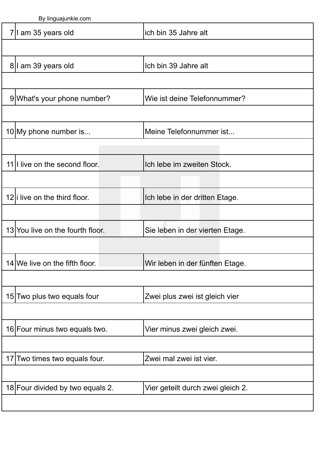|                               | Dy illiyuajulini <del>c</del> .com |                         |                                   |  |
|-------------------------------|------------------------------------|-------------------------|-----------------------------------|--|
|                               | 7  I am 35 years old               |                         | lich bin 35 Jahre alt             |  |
|                               |                                    |                         |                                   |  |
|                               | 8 I am 39 years old                |                         | Ich bin 39 Jahre alt              |  |
|                               |                                    |                         |                                   |  |
|                               | 9 What's your phone number?        |                         | Wie ist deine Telefonnummer?      |  |
|                               |                                    |                         |                                   |  |
|                               | 10 My phone number is              |                         | Meine Telefonnummer ist           |  |
|                               |                                    |                         |                                   |  |
|                               | 11  I live on the second floor.    |                         | Ich lebe im zweiten Stock.        |  |
|                               |                                    |                         |                                   |  |
|                               | 12  I live on the third floor.     |                         | Ich lebe in der dritten Etage.    |  |
|                               |                                    |                         |                                   |  |
|                               | 13 You live on the fourth floor.   |                         | Sie leben in der vierten Etage.   |  |
|                               |                                    |                         |                                   |  |
|                               | $14$ We live on the fifth floor.   |                         | Wir leben in der fünften Etage.   |  |
|                               |                                    |                         |                                   |  |
|                               | 15 Two plus two equals four        |                         | Zwei plus zwei ist gleich vier    |  |
|                               |                                    |                         |                                   |  |
|                               | 16 Four minus two equals two.      |                         | Vier minus zwei gleich zwei.      |  |
|                               |                                    |                         |                                   |  |
| 17 Two times two equals four. |                                    | Zwei mal zwei ist vier. |                                   |  |
|                               |                                    |                         |                                   |  |
|                               | 18 Four divided by two equals 2.   |                         | Vier geteilt durch zwei gleich 2. |  |
|                               |                                    |                         |                                   |  |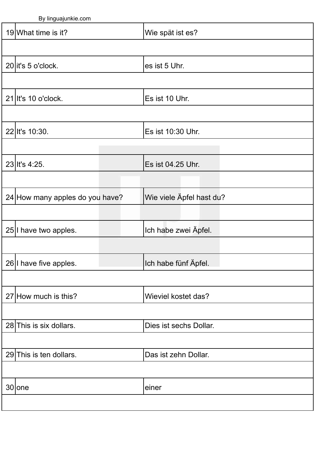By linguajunkie.com 19 What time is it? Wie spät ist es?  $20$  it's 5 o'clock.  $\qquad \qquad$  es ist 5 Uhr. 21 It's 10 o'clock. Es ist 10 Uhr. 22 It's 10:30. Es ist 10:30 Uhr. 23 It's 4:25. Es ist 04.25 Uhr. 24 How many apples do you have? Wie viele Äpfel hast du? 25 I have two apples. **If the set of the light vertex** lock and light habe zwei Äpfel.  $26$  I have five apples. In the line of loop line habe fünf Äpfel. 27 How much is this? Wieviel kostet das?  $28$  This is six dollars.  $\Box$  Dies ist sechs Dollar. 29 This is ten dollars. Das ist zehn Dollar. 30 one einer einer einer einer einer einer einer einer einer einer einer einer einer einer einer einer einer e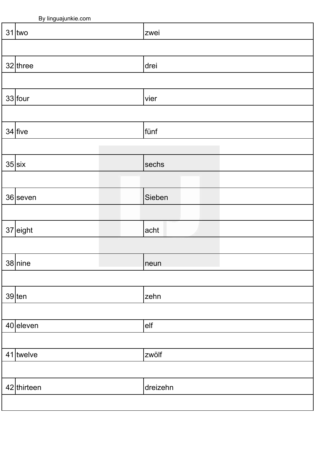| ╯<br><u>ັບ</u><br><u>ှ</u> |             |  |  |  |  |
|----------------------------|-------------|--|--|--|--|
| $31$ two                   | <b>zwei</b> |  |  |  |  |
|                            |             |  |  |  |  |
| $32$ three                 | drei        |  |  |  |  |
|                            |             |  |  |  |  |
| $33$ four                  | vier        |  |  |  |  |
|                            |             |  |  |  |  |
| $34$ five                  | fünf        |  |  |  |  |
|                            |             |  |  |  |  |
| $35$ $\vert$ six           | sechs       |  |  |  |  |
|                            |             |  |  |  |  |
| $36$  seven                | Sieben      |  |  |  |  |
|                            |             |  |  |  |  |
| $37$ eight                 | acht        |  |  |  |  |
|                            |             |  |  |  |  |
| $38$ nine                  | neun        |  |  |  |  |
|                            |             |  |  |  |  |
| $39$ ten                   | zehn        |  |  |  |  |
|                            |             |  |  |  |  |
| $40$ eleven                | elf         |  |  |  |  |
|                            |             |  |  |  |  |
| $41$ twelve                | zwölf       |  |  |  |  |
|                            |             |  |  |  |  |
| 42 thirteen                | dreizehn    |  |  |  |  |
|                            |             |  |  |  |  |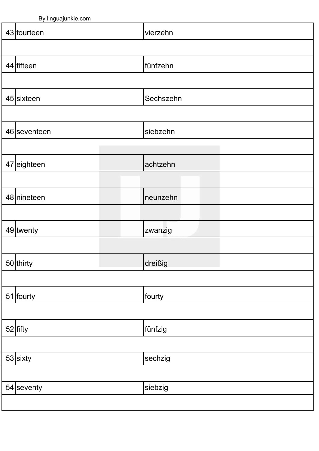| $-$ , $\cdots$ gaajan nooconn |           |  |
|-------------------------------|-----------|--|
| 43 fourteen                   | vierzehn  |  |
|                               |           |  |
| $44$ fifteen                  | fünfzehn  |  |
|                               |           |  |
| $45$  sixteen                 | Sechszehn |  |
|                               |           |  |
| 46 seventeen                  | siebzehn  |  |
|                               |           |  |
| $47$ eighteen                 | achtzehn  |  |
|                               |           |  |
| 48 nineteen                   | neunzehn  |  |
|                               |           |  |
| 49 twenty                     | zwanzig   |  |
|                               |           |  |
| 50 thirty                     | dreißig   |  |
|                               |           |  |
| $51$ fourty                   | fourty    |  |
|                               |           |  |
| $52$ fifty                    | fünfzig   |  |
|                               |           |  |
| $53$ sixty                    | sechzig   |  |
|                               |           |  |
| $54$ seventy                  | siebzig   |  |
|                               |           |  |